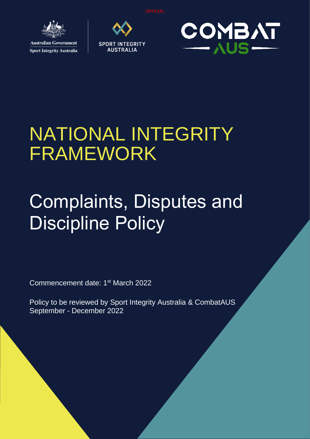

**Australian Government Sport Integrity Australia** 





# NATIONAL INTEGRITY FRAMEWORK

# Complaints, Disputes and **Discipline Policy**

Commencement date: 1<sup>st</sup> March 2022

Policy to be reviewed by Sport Integrity Australia & CombatAUS September - December 2022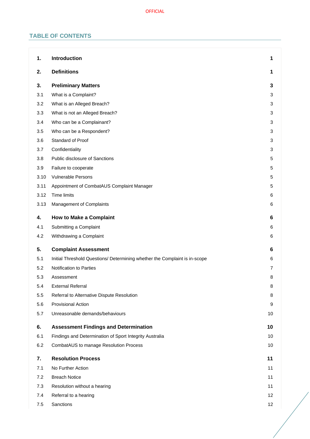# **TABLE OF CONTENTS**

| 1.   | <b>Introduction</b>                                                        | 1              |
|------|----------------------------------------------------------------------------|----------------|
| 2.   | <b>Definitions</b>                                                         | 1              |
| 3.   | <b>Preliminary Matters</b>                                                 | 3              |
| 3.1  | What is a Complaint?                                                       | 3              |
| 3.2  | What is an Alleged Breach?                                                 | 3              |
| 3.3  | What is not an Alleged Breach?                                             | 3              |
| 3.4  | Who can be a Complainant?                                                  | 3              |
| 3.5  | Who can be a Respondent?                                                   | 3              |
| 3.6  | Standard of Proof                                                          | 3              |
| 3.7  | Confidentiality                                                            | 3              |
| 3.8  | Public disclosure of Sanctions                                             | 5              |
| 3.9  | Failure to cooperate                                                       | 5              |
| 3.10 | <b>Vulnerable Persons</b>                                                  | 5              |
| 3.11 | Appointment of CombatAUS Complaint Manager                                 | 5              |
| 3.12 | Time limits                                                                | 6              |
| 3.13 | Management of Complaints                                                   | 6              |
| 4.   | <b>How to Make a Complaint</b>                                             | 6              |
| 4.1  | Submitting a Complaint                                                     | 6              |
| 4.2  | Withdrawing a Complaint                                                    | 6              |
| 5.   | <b>Complaint Assessment</b>                                                | 6              |
| 5.1  | Initial Threshold Questions/ Determining whether the Complaint is in-scope | 6              |
| 5.2  | Notification to Parties                                                    | $\overline{7}$ |
| 5.3  | Assessment                                                                 | 8              |
| 5.4  | <b>External Referral</b>                                                   | 8              |
| 5.5  | Referral to Alternative Dispute Resolution                                 | 8              |
| 5.6  | <b>Provisional Action</b>                                                  | 9              |
| 5.7  | Unreasonable demands/behaviours                                            | 10             |
| 6.   | <b>Assessment Findings and Determination</b>                               | 10             |
| 6.1  | Findings and Determination of Sport Integrity Australia                    | 10             |
| 6.2  | CombatAUS to manage Resolution Process                                     | 10             |
| 7.   | <b>Resolution Process</b>                                                  | 11             |
| 7.1  | No Further Action                                                          | 11             |
| 7.2  | <b>Breach Notice</b>                                                       | 11             |
| 7.3  | Resolution without a hearing                                               | 11             |
| 7.4  | Referral to a hearing                                                      | 12             |
| 7.5  | Sanctions                                                                  | 12             |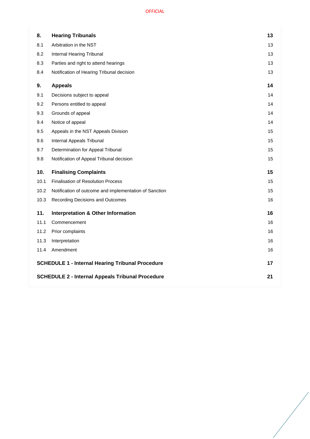| 8.   | <b>Hearing Tribunals</b>                                | 13 |
|------|---------------------------------------------------------|----|
| 8.1  | Arbitration in the NST                                  | 13 |
| 8.2  | Internal Hearing Tribunal                               | 13 |
| 8.3  | Parties and right to attend hearings                    | 13 |
| 8.4  | Notification of Hearing Tribunal decision               | 13 |
| 9.   | <b>Appeals</b>                                          | 14 |
| 9.1  | Decisions subject to appeal                             | 14 |
| 9.2  | Persons entitled to appeal                              | 14 |
| 9.3  | Grounds of appeal                                       | 14 |
| 9.4  | Notice of appeal                                        | 14 |
| 9.5  | Appeals in the NST Appeals Division                     | 15 |
| 9.6  | Internal Appeals Tribunal                               | 15 |
| 9.7  | Determination for Appeal Tribunal                       | 15 |
| 9.8  | Notification of Appeal Tribunal decision                | 15 |
| 10.  | <b>Finalising Complaints</b>                            | 15 |
| 10.1 | <b>Finalisation of Resolution Process</b>               | 15 |
| 10.2 | Notification of outcome and implementation of Sanction  | 15 |
| 10.3 | Recording Decisions and Outcomes                        | 16 |
| 11.  | <b>Interpretation &amp; Other Information</b>           | 16 |
| 11.1 | Commencement                                            | 16 |
| 11.2 | Prior complaints                                        | 16 |
| 11.3 | Interpretation                                          | 16 |
| 11.4 | Amendment                                               | 16 |
|      | <b>SCHEDULE 1 - Internal Hearing Tribunal Procedure</b> |    |
|      | <b>SCHEDULE 2 - Internal Appeals Tribunal Procedure</b> |    |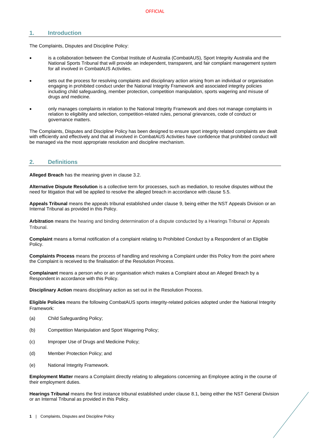# <span id="page-3-0"></span>**1. Introduction**

The Complaints, Disputes and Discipline Policy:

- is a collaboration between the Combat Institute of Australia (CombatAUS), Sport Integrity Australia and the National Sports Tribunal that will provide an independent, transparent, and fair complaint management system for all involved in CombatAUS Activities.
- sets out the process for resolving complaints and disciplinary action arising from an individual or organisation engaging in prohibited conduct under the National Integrity Framework and associated integrity policies including child safeguarding, member protection, competition manipulation, sports wagering and misuse of drugs and medicine.
- only manages complaints in relation to the National Integrity Framework and does not manage complaints in relation to eligibility and selection, competition-related rules, personal grievances, code of conduct or governance matters.

The Complaints, Disputes and Discipline Policy has been designed to ensure sport integrity related complaints are dealt with efficiently and effectively and that all involved in CombatAUS Activities have confidence that prohibited conduct will be managed via the most appropriate resolution and discipline mechanism.

# <span id="page-3-1"></span>**2. Definitions**

**Alleged Breach** has the meaning given in clause [3.2.](#page-5-2)

**Alternative Dispute Resolution** is a collective term for processes, such as mediation, to resolve disputes without the need for litigation that will be applied to resolve the alleged breach in accordance with clause [5.5.](#page-10-2)

**Appeals Tribunal** means the appeals tribunal established under clause [9,](#page-16-0) being either the NST Appeals Division or an Internal Tribunal as provided in this Policy.

**Arbitration** means the hearing and binding determination of a dispute conducted by a Hearings Tribunal or Appeals Tribunal.

**Complaint** means a formal notification of a complaint relating to Prohibited Conduct by a Respondent of an Eligible Policy.

**Complaints Process** means the process of handling and resolving a Complaint under this Policy from the point where the Complaint is received to the finalisation of the Resolution Process.

**Complainant** means a person who or an organisation which makes a Complaint about an Alleged Breach by a Respondent in accordance with this Policy.

**Disciplinary Action** means disciplinary action as set out in the Resolution Process.

**Eligible Policies** means the following CombatAUS sports integrity-related policies adopted under the National Integrity Framework:

- (a) Child Safeguarding Policy;
- (b) Competition Manipulation and Sport Wagering Policy;
- (c) Improper Use of Drugs and Medicine Policy;
- (d) Member Protection Policy; and
- (e) National Integrity Framework.

**Employment Matter** means a Complaint directly relating to allegations concerning an Employee acting in the course of their employment duties.

**Hearings Tribunal** means the first instance tribunal established under clause [8.1,](#page-15-1) being either the NST General Division or an Internal Tribunal as provided in this Policy.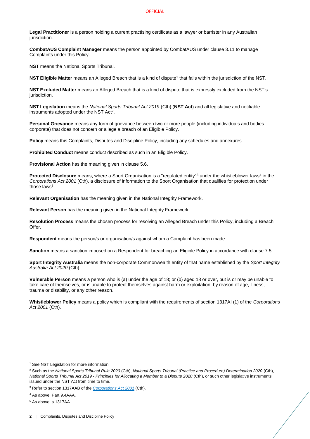#### **OFFICIAL**

**Legal Practitioner** is a person holding a current practising certificate as a lawyer or barrister in any Australian jurisdiction.

**CombatAUS Complaint Manager** means the person appointed by CombatAUS under clause [3.11](#page-7-3) to manage Complaints under this Policy.

**NST** means the National Sports Tribunal.

**NST Eligible Matter** means an Alleged Breach that is a kind of dispute<sup>1</sup> that falls within the jurisdiction of the NST.

**NST Excluded Matter** means an Alleged Breach that is a kind of dispute that is expressly excluded from the NST's jurisdiction.

**NST Legislation** means the *National Sports Tribunal Act 2019* (Cth) (**NST Act**) and all legislative and notifiable instruments adopted under the NST Act<sup>2</sup>.

**Personal Grievance** means any form of grievance between two or more people (including individuals and bodies corporate) that does not concern or allege a breach of an Eligible Policy.

**Policy** means this Complaints, Disputes and Discipline Policy, including any schedules and annexures.

**Prohibited Conduct** means conduct described as such in an Eligible Policy.

**Provisional Action** has the meaning given in clause [5.6.](#page-11-0)

Protected Disclosure means, where a Sport Organisation is a "regulated entity"<sup>3</sup> under the whistleblower laws<sup>4</sup> in the *Corporations Act 2001* (Cth), a disclosure of information to the Sport Organisation that qualifies for protection under those laws<sup>5</sup>.

**Relevant Organisation** has the meaning given in the National Integrity Framework.

**Relevant Person** has the meaning given in the National Integrity Framework.

**Resolution Process** means the chosen process for resolving an Alleged Breach under this Policy, including a Breach Offer.

**Respondent** means the person/s or organisation/s against whom a Complaint has been made.

**Sanction** means a sanction imposed on a Respondent for breaching an Eligible Policy in accordance with clause [7.5.](#page-14-1)

**Sport Integrity Australia** means the non-corporate Commonwealth entity of that name established by the *Sport Integrity Australia Act 2020* (Cth).

**Vulnerable Person** means a person who is (a) under the age of 18; or (b) aged 18 or over, but is or may be unable to take care of themselves, or is unable to protect themselves against harm or exploitation, by reason of age, illness, trauma or disability, or any other reason.

**Whistleblower Policy** means a policy which is compliant with the requirements of section 1317AI (1) of the *Corporations Act 2001* (Cth).

 $\overline{\phantom{a}}$ 

<sup>&</sup>lt;sup>1</sup> See NST Legislation for more information.

<sup>2</sup> Such as the *National Sports Tribunal Rule 2020* (Cth), *National Sports Tribunal (Practice and Procedure) Determination 2020* (Cth), *National Sports Tribunal Act 2019 - Principles for Allocating a Member to a Dispute 2020* (Cth), or such other legislative instruments issued under the NST Act from time to time.

<sup>3</sup> Refer to section 1317AAB of the *[Corporations Act 2001](https://www.legislation.gov.au/Details/C2020C00093/Html/Volume_5#_Toc33706032)* (Cth).

<sup>4</sup> As above, Part 9.4AAA.

<sup>5</sup> As above, s 1317AA.

**<sup>2</sup>** | Complaints, Disputes and Discipline Policy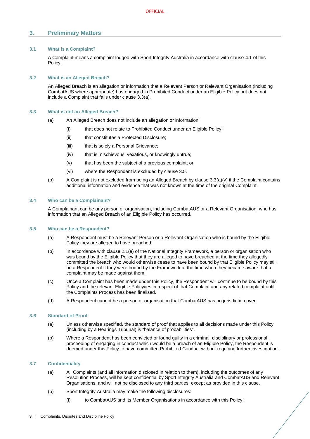# <span id="page-5-0"></span>**3. Preliminary Matters**

# <span id="page-5-1"></span>**3.1 What is a Complaint?**

A Complaint means a complaint lodged with Sport Integrity Australia in accordance with clause [4.1](#page-8-3) of this Policy.

# <span id="page-5-2"></span>**3.2 What is an Alleged Breach?**

An Alleged Breach is an allegation or information that a Relevant Person or Relevant Organisation (including CombatAUS where appropriate) has engaged in Prohibited Conduct under an Eligible Policy but does not include a Complaint that falls under clause [3.3\(](#page-5-3)a).

## <span id="page-5-3"></span>**3.3 What is not an Alleged Breach?**

- (a) An Alleged Breach does not include an allegation or information:
	- (i) that does not relate to Prohibited Conduct under an Eligible Policy;
	- (ii) that constitutes a Protected Disclosure;
	- (iii) that is solely a Personal Grievance;
	- (iv) that is mischievous, vexatious, or knowingly untrue;
	- (v) that has been the subject of a previous complaint; or
	- (vi) where the Respondent is excluded by clause [3.5.](#page-5-5)
- <span id="page-5-8"></span>(b) A Complaint is not excluded from being an Alleged Breach by clause [3.3](#page-5-3)[\(a\)\(v\)](#page-5-8) if the Complaint contains additional information and evidence that was not known at the time of the original Complaint.

### <span id="page-5-4"></span>**3.4 Who can be a Complainant?**

A Complainant can be any person or organisation, including CombatAUS or a Relevant Organisation, who has information that an Alleged Breach of an Eligible Policy has occurred.

#### <span id="page-5-5"></span>**3.5 Who can be a Respondent?**

- (a) A Respondent must be a Relevant Person or a Relevant Organisation who is bound by the Eligible Policy they are alleged to have breached.
- (b) In accordance with clause 2.1(e) of the National Integrity Framework, a person or organisation who was bound by the Eligible Policy that they are alleged to have breached at the time they allegedly committed the breach who would otherwise cease to have been bound by that Eligible Policy may still be a Respondent if they were bound by the Framework at the time when they became aware that a complaint may be made against them.
- (c) Once a Complaint has been made under this Policy, the Respondent will continue to be bound by this Policy and the relevant Eligible Policy/ies in respect of that Complaint and any related complaint until the Complaints Process has been finalised.
- (d) A Respondent cannot be a person or organisation that CombatAUS has no jurisdiction over.

#### <span id="page-5-6"></span>**3.6 Standard of Proof**

- (a) Unless otherwise specified, the standard of proof that applies to all decisions made under this Policy (including by a Hearings Tribunal) is "balance of probabilities".
- (b) Where a Respondent has been convicted or found guilty in a criminal, disciplinary or professional proceeding of engaging in conduct which would be a breach of an Eligible Policy, the Respondent is deemed under this Policy to have committed Prohibited Conduct without requiring further investigation.

# <span id="page-5-7"></span>**3.7 Confidentiality**

- (a) All Complaints (and all information disclosed in relation to them), including the outcomes of any Resolution Process, will be kept confidential by Sport Integrity Australia and CombatAUS and Relevant Organisations, and will not be disclosed to any third parties, except as provided in this clause.
- (b) Sport Integrity Australia may make the following disclosures:
	- (i) to CombatAUS and its Member Organisations in accordance with this Policy;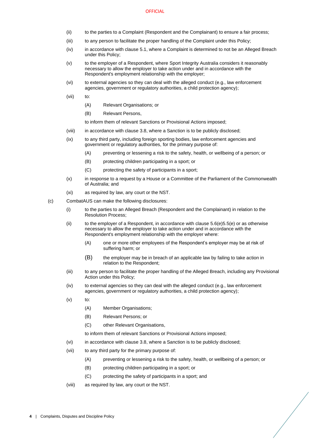- (ii) to the parties to a Complaint (Respondent and the Complainant) to ensure a fair process;
- (iii) to any person to facilitate the proper handling of the Complaint under this Policy;
- (iv) in accordance with claus[e 5.1,](#page-8-6) where a Complaint is determined to not be an Alleged Breach under this Policy;
- (v) to the employer of a Respondent, where Sport Integrity Australia considers it reasonably necessary to allow the employer to take action under and in accordance with the Respondent's employment relationship with the employer;
- (vi) to external agencies so they can deal with the alleged conduct (e.g., law enforcement agencies, government or regulatory authorities, a child protection agency);
- (vii) to:
	- (A) Relevant Organisations; or
	- (B) Relevant Persons,

to inform them of relevant Sanctions or Provisional Actions imposed;

- (viii) in accordance with claus[e 3.8,](#page-7-0) where a Sanction is to be publicly disclosed;
- (ix) to any third party, including foreign sporting bodies, law enforcement agencies and government or regulatory authorities, for the primary purpose of:
	- (A) preventing or lessening a risk to the safety, health, or wellbeing of a person; or
	- (B) protecting children participating in a sport; or
	- (C) protecting the safety of participants in a sport;
- (x) in response to a request by a House or a Committee of the Parliament of the Commonwealth of Australia; and
- (xi) as required by law, any court or the NST.
- (c) CombatAUS can make the following disclosures:
	- (i) to the parties to an Alleged Breach (Respondent and the Complainant) in relation to the Resolution Process;
	- (ii) to the employer of a Respondent, in accordance with clause  $5.6(e)5.5(e)$  $5.6(e)5.5(e)$  or as otherwise necessary to allow the employer to take action under and in accordance with the Respondent's employment relationship with the employer where:
		- (A) one or more other employees of the Respondent's employer may be at risk of suffering harm; or
		- (B) the employer may be in breach of an applicable law by failing to take action in relation to the Respondent;
	- (iii) to any person to facilitate the proper handling of the Alleged Breach, including any Provisional Action under this Policy;
	- (iv) to external agencies so they can deal with the alleged conduct (e.g., law enforcement agencies, government or regulatory authorities, a child protection agency);
	- $(v)$  to:
		- (A) Member Organisations;
		- (B) Relevant Persons; or
		- (C) other Relevant Organisations,

to inform them of relevant Sanctions or Provisional Actions imposed;

- <span id="page-6-0"></span>(vi) in accordance with claus[e 3.8,](#page-7-0) where a Sanction is to be publicly disclosed;
- <span id="page-6-1"></span>(vii) to any third party for the primary purpose of:
	- (A) preventing or lessening a risk to the safety, health, or wellbeing of a person; or
	- (B) protecting children participating in a sport; or
	- (C) protecting the safety of participants in a sport; and
- (viii) as required by law, any court or the NST.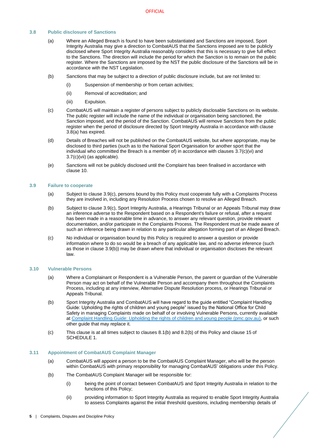# <span id="page-7-4"></span><span id="page-7-0"></span>**3.8 Public disclosure of Sanctions**

- (a) Where an Alleged Breach is found to have been substantiated and Sanctions are imposed, Sport Integrity Australia may give a direction to CombatAUS that the Sanctions imposed are to be publicly disclosed where Sport Integrity Australia reasonably considers that this is necessary to give full effect to the Sanctions. The direction will include the period for which the Sanction is to remain on the public register. Where the Sanctions are imposed by the NST the public disclosure of the Sanctions will be in accordance with the NST Legislation.
- (b) Sanctions that may be subject to a direction of public disclosure include, but are not limited to:
	- (i) Suspension of membership or from certain activities;
	- (ii) Removal of accreditation; and
	- (iii) Expulsion.
- <span id="page-7-7"></span>(c) CombatAUS will maintain a register of persons subject to publicly disclosable Sanctions on its website. The public register will include the name of the individual or organisation being sanctioned, the Sanction imposed, and the period of the Sanction. CombatAUS will remove Sanctions from the public register when the period of disclosure directed by Sport Integrity Australia in accordance with clause [3.8](#page-7-0)[\(a\)](#page-7-4) has expired.
- (d) Details of Breaches will not be published on the CombatAUS website, but where appropriate, may be disclosed to third parties (such as to the National Sport Organisation for another sport that the individual who committed the Breach is a member of) in accordance with clauses [3.7](#page-5-7)[\(c\)\(vi\)](#page-6-0) and [3.7](#page-5-7)[\(c\)\(vii\)](#page-6-1) (as applicable).
- (e) Sanctions will not be publicly disclosed until the Complaint has been finalised in accordance with clause [10.](#page-17-4)

#### <span id="page-7-1"></span>**3.9 Failure to cooperate**

- (a) Subject to clause [3.9](#page-7-1)[\(c\),](#page-7-5) persons bound by this Policy must cooperate fully with a Complaints Process they are involved in, including any Resolution Process chosen to resolve an Alleged Breach.
- <span id="page-7-6"></span>(b) Subject to clause [3.9](#page-7-1)[\(c\),](#page-7-5) Sport Integrity Australia, a Hearings Tribunal or an Appeals Tribunal may draw an inference adverse to the Respondent based on a Respondent's failure or refusal, after a request has been made in a reasonable time in advance, to answer any relevant question, provide relevant documentation, and/or participate in the Complaints Process. The Respondent must be made aware of such an inference being drawn in relation to any particular allegation forming part of an Alleged Breach.
- <span id="page-7-5"></span>(c) No individual or organisation bound by this Policy is required to answer a question or provide information where to do so would be a breach of any applicable law, and no adverse inference (such as those in clause [3.9](#page-7-1)[\(b\)\)](#page-7-6) may be drawn where that individual or organisation discloses the relevant law.

#### <span id="page-7-2"></span>**3.10 Vulnerable Persons**

- (a) Where a Complainant or Respondent is a Vulnerable Person, the parent or guardian of the Vulnerable Person may act on behalf of the Vulnerable Person and accompany them throughout the Complaints Process, including at any interview, Alternative Dispute Resolution process, or Hearings Tribunal or Appeals Tribunal.
- (b) Sport Integrity Australia and CombatAUS will have regard to the guide entitled "Complaint Handling Guide: Upholding the rights of children and young people" issued by the National Office for Child Safety in managing Complaints made on behalf of or involving Vulnerable Persons, currently available a[t Complaint Handling Guide: Upholding the rights of children and young people \(pmc.gov.au\),](https://childsafety.pmc.gov.au/sites/default/files/2020-09/nocs-complaint-handling-guide.pdf) or such other guide that may replace it.
- (c) This clause is at all times subject to clauses [8.1\(b\)](#page-15-5) an[d 8.2\(b\)](#page-15-6) of this Policy and clause 15 of [SCHEDULE 1.](#page-19-0)

#### <span id="page-7-3"></span>**3.11 Appointment of CombatAUS Complaint Manager**

- (a) CombatAUS will appoint a person to be the CombatAUS Complaint Manager, who will be the person within CombatAUS with primary responsibility for managing CombatAUS' obligations under this Policy.
- (b) The CombatAUS Complaint Manager will be responsible for:
	- (i) being the point of contact between CombatAUS and Sport Integrity Australia in relation to the functions of this Policy;
	- (ii) providing information to Sport Integrity Australia as required to enable Sport Integrity Australia to assess Complaints against the initial threshold questions, including membership details of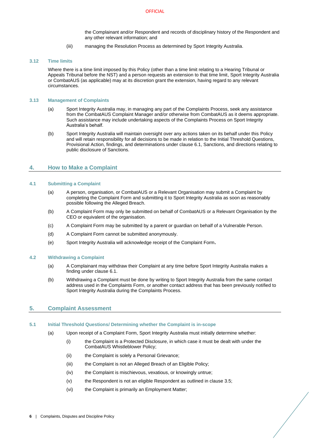the Complainant and/or Respondent and records of disciplinary history of the Respondent and any other relevant information; and

(iii) managing the Resolution Process as determined by Sport Integrity Australia.

# <span id="page-8-0"></span>**3.12 Time limits**

Where there is a time limit imposed by this Policy (other than a time limit relating to a Hearing Tribunal or Appeals Tribunal before the NST) and a person requests an extension to that time limit, Sport Integrity Australia or CombatAUS (as applicable) may at its discretion grant the extension, having regard to any relevant circumstances.

## <span id="page-8-1"></span>**3.13 Management of Complaints**

- (a) Sport Integrity Australia may, in managing any part of the Complaints Process, seek any assistance from the CombatAUS Complaint Manager and/or otherwise from CombatAUS as it deems appropriate. Such assistance may include undertaking aspects of the Complaints Process on Sport Integrity Australia's behalf.
- (b) Sport Integrity Australia will maintain oversight over any actions taken on its behalf under this Policy and will retain responsibility for all decisions to be made in relation to the Initial Threshold Questions, Provisional Action, findings, and determinations under clause [6.1,](#page-12-2) Sanctions, and directions relating to public disclosure of Sanctions.

# <span id="page-8-2"></span>**4. How to Make a Complaint**

### <span id="page-8-3"></span>**4.1 Submitting a Complaint**

- (a) A person, organisation, or CombatAUS or a Relevant Organisation may submit a Complaint by completing the Complaint Form and submitting it to Sport Integrity Australia as soon as reasonably possible following the Alleged Breach.
- (b) A Complaint Form may only be submitted on behalf of CombatAUS or a Relevant Organisation by the CEO or equivalent of the organisation.
- (c) A Complaint Form may be submitted by a parent or guardian on behalf of a Vulnerable Person.
- (d) A Complaint Form cannot be submitted anonymously.
- (e) Sport Integrity Australia will acknowledge receipt of the Complaint Form**.**

#### <span id="page-8-4"></span>**4.2 Withdrawing a Complaint**

- (a) A Complainant may withdraw their Complaint at any time before Sport Integrity Australia makes a finding under claus[e 6.1.](#page-12-2)
- (b) Withdrawing a Complaint must be done by writing to Sport Integrity Australia from the same contact address used in the Complaints Form, or another contact address that has been previously notified to Sport Integrity Australia during the Complaints Process.

# <span id="page-8-5"></span>**5. Complaint Assessment**

- <span id="page-8-9"></span><span id="page-8-8"></span><span id="page-8-7"></span><span id="page-8-6"></span>**5.1 Initial Threshold Questions/ Determining whether the Complaint is in-scope**
	- (a) Upon receipt of a Complaint Form, Sport Integrity Australia must initially determine whether:
		- (i) the Complaint is a Protected Disclosure, in which case it must be dealt with under the CombatAUS Whistleblower Policy;
		- (ii) the Complaint is solely a Personal Grievance;
		- (iii) the Complaint is not an Alleged Breach of an Eligible Policy;
		- (iv) the Complaint is mischievous, vexatious, or knowingly untrue;
		- (v) the Respondent is not an eligible Respondent as outlined in clause [3.5;](#page-5-5)
		- (vi) the Complaint is primarily an Employment Matter;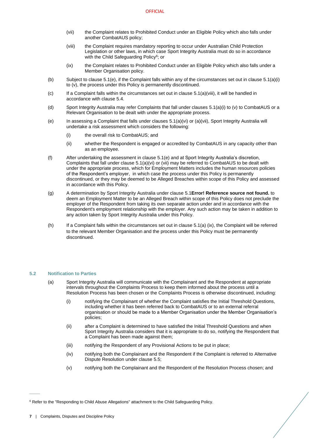- <span id="page-9-3"></span>(vii) the Complaint relates to Prohibited Conduct under an Eligible Policy which also falls under another CombatAUS policy;
- <span id="page-9-2"></span>(viii) the Complaint requires mandatory reporting to occur under Australian Child Protection Legislation or other laws, in which case Sport Integrity Australia must do so in accordance with the Child Safeguarding Policy<sup>6</sup>; or
- (ix) the Complaint relates to Prohibited Conduct under an Eligible Policy which also falls under a Member Organisation policy.
- (b) Subject to claus[e 5.1](#page-8-6)[\(e\),](#page-9-1) if the Complaint falls within any of the circumstances set out in clause [5.1\(a\)\(i\)](#page-8-7) to [\(v\),](#page-8-8) the process under this Policy is permanently discontinued.
- $(c)$  If a Complaint falls within the circumstances set out in clause  $5.1(a)(viii)$ , it will be handled in accordance with claus[e 5.4.](#page-10-1)
- (d) Sport Integrity Australia may refer Complaints that fall under clauses [5.1\(a\)\(i\)](#page-8-7) t[o \(v\)](#page-8-8) to CombatAUS or a Relevant Organisation to be dealt with under the appropriate process.
- <span id="page-9-1"></span>(e) In assessing a Complaint that falls under clauses  $5.1(a)(vi)$  $5.1(a)(vi)$  or  $(a)(vii)$ , Sport Integrity Australia will undertake a risk assessment which considers the following:
	- (i) the overall risk to CombatAUS; and
	- (ii) whether the Respondent is engaged or accredited by CombatAUS in any capacity other than as an employee.
- (f) After undertaking the assessment in clause [5.1](#page-8-6)[\(e\)](#page-9-1) and at Sport Integrity Australia's discretion, Complaints that fall under claus[e 5.1\(a\)\(vi\)](#page-8-9) o[r \(vii\)](#page-9-3) may be referred to CombatAUS to be dealt with under the appropriate process, which for Employment Matters includes the human resources policies of the Respondent's employer, in which case the process under this Policy is permanently discontinued, or they may be deemed to be Alleged Breaches within scope of this Policy and assessed in accordance with this Policy.
- (g) A determination by Sport Integrity Australia under clause [5.1](#page-8-6)**Error! Reference source not found.** to deem an Employment Matter to be an Alleged Breach within scope of this Policy does not preclude the employer of the Respondent from taking its own separate action under and in accordance with the Respondent's employment relationship with the employer. Any such action may be taken in addition to any action taken by Sport Integrity Australia under this Policy.
- (h) If a Complaint falls within the circumstances set out in clause 5.1(a) (ix), the Complaint will be referred to the relevant Member Organisation and the process under this Policy must be permanently discontinued.

# <span id="page-9-0"></span>**5.2 Notification to Parties**

- (a) Sport Integrity Australia will communicate with the Complainant and the Respondent at appropriate intervals throughout the Complaints Process to keep them informed about the process until a Resolution Process has been chosen or the Complaints Process is otherwise discontinued, including:
	- (i) notifying the Complainant of whether the Complaint satisfies the Initial Threshold Questions, including whether it has been referred back to CombatAUS or to an external referral organisation or should be made to a Member Organisation under the Member Organisation's policies;
	- (ii) after a Complaint is determined to have satisfied the Initial Threshold Questions and when Sport Integrity Australia considers that it is appropriate to do so, notifying the Respondent that a Complaint has been made against them;
	- (iii) notifying the Respondent of any Provisional Actions to be put in place;
	- (iv) notifying both the Complainant and the Respondent if the Complaint is referred to Alternative Dispute Resolution under clause [5.5;](#page-10-2)
	- (v) notifying both the Complainant and the Respondent of the Resolution Process chosen; and

 $\overline{\phantom{a}}$ 

<sup>&</sup>lt;sup>6</sup> Refer to the "Responding to Child Abuse Allegations" attachment to the Child Safeguarding Policy.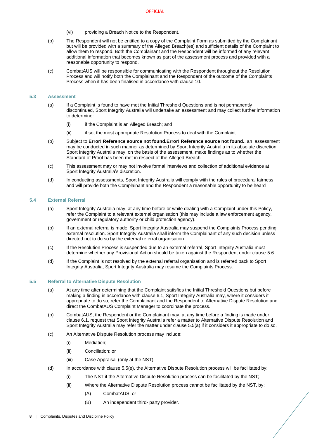#### **OFFICIAL**

- (vi) providing a Breach Notice to the Respondent.
- (b) The Respondent will not be entitled to a copy of the Complaint Form as submitted by the Complainant but will be provided with a summary of the Alleged Breach(es) and sufficient details of the Complaint to allow them to respond. Both the Complainant and the Respondent will be informed of any relevant additional information that becomes known as part of the assessment process and provided with a reasonable opportunity to respond.
- (c) CombatAUS will be responsible for communicating with the Respondent throughout the Resolution Process and will notify both the Complainant and the Respondent of the outcome of the Complaints Process when it has been finalised in accordance with clause [10.](#page-17-4)

#### <span id="page-10-0"></span>**5.3 Assessment**

- (a) If a Complaint is found to have met the Initial Threshold Questions and is not permanently discontinued, Sport Integrity Australia will undertake an assessment and may collect further information to determine:
	- (i) if the Complaint is an Alleged Breach; and
	- (ii) if so, the most appropriate Resolution Process to deal with the Complaint.
- (b) Subject to **Error! Reference source not found.Error! Reference source not found.**, an assessment may be conducted in such manner as determined by Sport Integrity Australia in its absolute discretion. Sport Integrity Australia may, on the basis of the assessment, make findings as to whether the Standard of Proof has been met in respect of the Alleged Breach.
- (c) This assessment may or may not involve formal interviews and collection of additional evidence at Sport Integrity Australia's discretion.
- (d) In conducting assessments, Sport Integrity Australia will comply with the rules of procedural fairness and will provide both the Complainant and the Respondent a reasonable opportunity to be heard

### <span id="page-10-1"></span>**5.4 External Referral**

- (a) Sport Integrity Australia may, at any time before or while dealing with a Complaint under this Policy, refer the Complaint to a relevant external organisation (this may include a law enforcement agency, government or regulatory authority or child protection agency).
- (b) If an external referral is made, Sport Integrity Australia may suspend the Complaints Process pending external resolution. Sport Integrity Australia shall inform the Complainant of any such decision unless directed not to do so by the external referral organisation.
- (c) If the Resolution Process is suspended due to an external referral, Sport Integrity Australia must determine whether any Provisional Action should be taken against the Respondent under clause [5.6.](#page-11-0)
- (d) If the Complaint is not resolved by the external referral organisation and is referred back to Sport Integrity Australia, Sport Integrity Australia may resume the Complaints Process.

#### <span id="page-10-3"></span><span id="page-10-2"></span>**5.5 Referral to Alternative Dispute Resolution**

- (a) At any time after determining that the Complaint satisfies the Initial Threshold Questions but before making a finding in accordance with clause 6.1, Sport Integrity Australia may, where it considers it appropriate to do so, refer the Complainant and the Respondent to Alternative Dispute Resolution and direct the CombatAUS Complaint Manager to coordinate the process.
- (b) CombatAUS, the Respondent or the Complainant may, at any time before a finding is made under clause [6.1,](#page-12-2) request that Sport Integrity Australia refer a matter to Alternative Dispute Resolution and Sport Integrity Australia may refer the matter under clause [5.5\(a\)](#page-10-3) if it considers it appropriate to do so.
- (c) An Alternative Dispute Resolution process may include:
	- (i) Mediation;
	- (ii) Conciliation; or
	- (iii) Case Appraisal (only at the NST).
- (d) In accordance with claus[e 5.5](#page-10-2)[\(e\),](#page-11-1) the Alternative Dispute Resolution process will be facilitated by:
	- (i) The NST if the Alternative Dispute Resolution process can be facilitated by the NST;
	- (ii) Where the Alternative Dispute Resolution process cannot be facilitated by the NST, by:
		- (A) CombatAUS; or
		- (B) An independent third- party provider.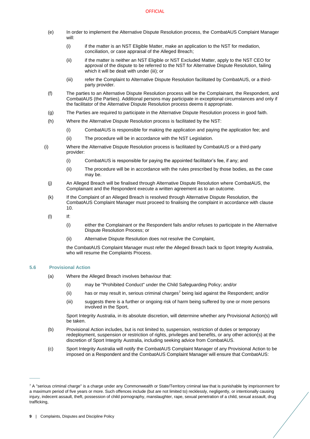#### **OFFICIAL**

- <span id="page-11-1"></span>(e) In order to implement the Alternative Dispute Resolution process, the CombatAUS Complaint Manager will:
	- (i) if the matter is an NST Eligible Matter, make an application to the NST for mediation, conciliation, or case appraisal of the Alleged Breach;
	- (ii) if the matter is neither an NST Eligible or NST Excluded Matter, apply to the NST CEO for approval of the dispute to be referred to the NST for Alternative Dispute Resolution, failing which it will be dealt with under (iii); or
	- (iii) refer the Complaint to Alternative Dispute Resolution facilitated by CombatAUS, or a thirdparty provider.
- (f) The parties to an Alternative Dispute Resolution process will be the Complainant, the Respondent, and CombatAUS (the Parties). Additional persons may participate in exceptional circumstances and only if the facilitator of the Alternative Dispute Resolution process deems it appropriate.
- (g) The Parties are required to participate in the Alternative Dispute Resolution process in good faith.
- (h) Where the Alternative Dispute Resolution process is facilitated by the NST:
	- (i) CombatAUS is responsible for making the application and paying the application fee; and
	- (ii) The procedure will be in accordance with the NST Legislation.
- (i) Where the Alternative Dispute Resolution process is facilitated by CombatAUS or a third-party provider:
	- (i) CombatAUS is responsible for paying the appointed facilitator's fee, if any; and
	- (ii) The procedure will be in accordance with the rules prescribed by those bodies, as the case may be.
	- (j) An Alleged Breach will be finalised through Alternative Dispute Resolution where CombatAUS, the Complainant and the Respondent execute a written agreement as to an outcome.
	- (k) If the Complaint of an Alleged Breach is resolved through Alternative Dispute Resolution, the CombatAUS Complaint Manager must proceed to finalising the complaint in accordance with clause [10.](#page-17-4)
	- $(I)$  If:
		- (i) either the Complainant or the Respondent fails and/or refuses to participate in the Alternative Dispute Resolution Process; or
		- (ii) Alternative Dispute Resolution does not resolve the Complaint,

the CombatAUS Complaint Manager must refer the Alleged Breach back to Sport Integrity Australia, who will resume the Complaints Process.

# **5.6 Provisional Action**

- <span id="page-11-0"></span>(a) Where the Alleged Breach involves behaviour that:
	- (i) may be "Prohibited Conduct" under the Child Safeguarding Policy; and/or
	- (ii) has or may result in, serious criminal charges<sup>7</sup> being laid against the Respondent; and/or
	- (iii) suggests there is a further or ongoing risk of harm being suffered by one or more persons involved in the Sport,

Sport Integrity Australia, in its absolute discretion, will determine whether any Provisional Action(s) will be taken.

- (b) Provisional Action includes, but is not limited to, suspension, restriction of duties or temporary redeployment, suspension or restriction of rights, privileges and benefits, or any other action(s) at the discretion of Sport Integrity Australia, including seeking advice from CombatAUS.
- (c) Sport Integrity Australia will notify the CombatAUS Complaint Manager of any Provisional Action to be imposed on a Respondent and the CombatAUS Complaint Manager will ensure that CombatAUS:

 $\overline{\phantom{a}}$ 

 $7$  A "serious criminal charge" is a charge under any Commonwealth or State/Territory criminal law that is punishable by imprisonment for a maximum period of five years or more. Such offences include (but are not limited to) recklessly, negligently, or intentionally causing injury, indecent assault, theft, possession of child pornography, manslaughter, rape, sexual penetration of a child, sexual assault, drug trafficking,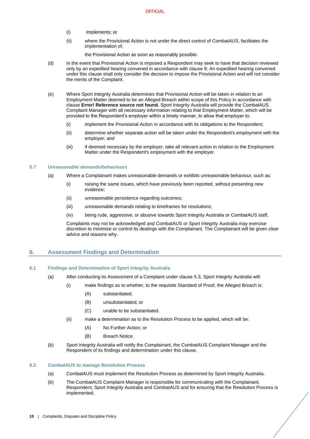- (i) Implements; or
- (ii) where the Provisional Action is not under the direct control of CombatAUS, facilitates the implementation of,

the Provisional Action as soon as reasonably possible.

- (d) In the event that Provisional Action is imposed a Respondent may seek to have that decision reviewed only by an expedited hearing convened in accordance with clause 8. An expedited hearing convened under this clause shall only consider the decision to impose the Provisional Action and will not consider the merits of the Complaint.
- <span id="page-12-4"></span>(e) Where Sport Integrity Australia determines that Provisional Action will be taken in relation to an Employment Matter deemed to be an Alleged Breach within scope of this Policy in accordance with clause **Error! Reference source not found.** Sport Integrity Australia will provide the CombatAUS Complaint Manager with all necessary information relating to that Employment Matter, which will be provided to the Respondent's employer within a timely manner, to allow that employer to:
	- (i) implement the Provisional Action in accordance with its obligations to the Respondent;
	- (ii) determine whether separate action will be taken under the Respondent's employment with the employer; and
	- (iii) if deemed necessary by the employer, take all relevant action in relation to the Employment Matter under the Respondent's employment with the employer.

#### <span id="page-12-0"></span>**5.7 Unreasonable demands/behaviours**

- (a) Where a Complainant makes unreasonable demands or exhibits unreasonable behaviour, such as:
	- (i) raising the same issues, which have previously been reported, without presenting new evidence;
	- (ii) unreasonable persistence regarding outcomes;
	- (iii) unreasonable demands relating to timeframes for resolutions;
	- (iv) being rude, aggressive, or abusive towards Sport Integrity Australia or CombatAUS staff,

Complaints may not be acknowledged and CombatAUS or Sport Integrity Australia may exercise discretion to minimise or control its dealings with the Complainant. The Complainant will be given clear advice and reasons why.

# <span id="page-12-1"></span>**6. Assessment Findings and Determination**

## <span id="page-12-2"></span>**6.1 Findings and Determination of Sport Integrity Australia**

- (a) After conducting its Assessment of a Complaint under claus[e 5.3,](#page-10-0) Sport Integrity Australia will:
	- (i) make findings as to whether, to the requisite Standard of Proof, the Alleged Breach is:
		- (A) substantiated;
		- (B) unsubstantiated; or
		- (C) unable to be substantiated.
	- (ii) make a determination as to the Resolution Process to be applied, which will be:
		- (A) No Further Action; or
		- (B) Breach Notice.
- <span id="page-12-6"></span><span id="page-12-5"></span>(b) Sport Integrity Australia will notify the Complainant, the CombatAUS Complaint Manager and the Respondent of its findings and determination under this clause.

#### <span id="page-12-3"></span>**6.2 CombatAUS to manage Resolution Process**

- (a) CombatAUS must implement the Resolution Process as determined by Sport Integrity Australia.
- (b) The CombatAUS Complaint Manager is responsible for communicating with the Complainant, Respondent, Sport Integrity Australia and CombatAUS and for ensuring that the Resolution Process is implemented.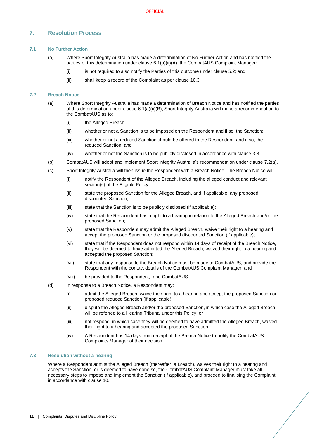# <span id="page-13-0"></span>**7. Resolution Process**

# <span id="page-13-1"></span>**7.1 No Further Action**

- (a) Where Sport Integrity Australia has made a determination of No Further Action and has notified the parties of this determination under claus[e 6.1\(a\)\(ii\)\(A\),](#page-12-5) the CombatAUS Complaint Manager:
	- (i) is not required to also notify the Parties of this outcome under claus[e 5.2;](#page-9-0) and
	- (ii) shall keep a record of the Complaint as per clause [10.3.](#page-18-0)

#### <span id="page-13-4"></span><span id="page-13-2"></span>**7.2 Breach Notice**

- (a) Where Sport Integrity Australia has made a determination of Breach Notice and has notified the parties of this determination under clause [6.1\(a\)\(ii\)\(B\),](#page-12-6) Sport Integrity Australia will make a recommendation to the CombatAUS as to:
	- (i) the Alleged Breach;
	- (ii) whether or not a Sanction is to be imposed on the Respondent and if so, the Sanction;
	- (iii) whether or not a reduced Sanction should be offered to the Respondent, and if so, the reduced Sanction; and
	- (iv) whether or not the Sanction is to be publicly disclosed in accordance with clause [3.8.](#page-7-0)
- (b) CombatAUS will adopt and implement Sport Integrity Australia's recommendation under clause [7.2\(a\).](#page-13-4)
- (c) Sport Integrity Australia will then issue the Respondent with a Breach Notice. The Breach Notice will:
	- (i) notify the Respondent of the Alleged Breach, including the alleged conduct and relevant section(s) of the Eligible Policy;
	- (ii) state the proposed Sanction for the Alleged Breach, and if applicable, any proposed discounted Sanction;
	- (iii) state that the Sanction is to be publicly disclosed (if applicable);
	- (iv) state that the Respondent has a right to a hearing in relation to the Alleged Breach and/or the proposed Sanction;
	- (v) state that the Respondent may admit the Alleged Breach, waive their right to a hearing and accept the proposed Sanction or the proposed discounted Sanction (if applicable);
	- (vi) state that if the Respondent does not respond within 14 days of receipt of the Breach Notice, they will be deemed to have admitted the Alleged Breach, waived their right to a hearing and accepted the proposed Sanction;
	- (vii) state that any response to the Breach Notice must be made to CombatAUS, and provide the Respondent with the contact details of the CombatAUS Complaint Manager; and
	- (viii) be provided to the Respondent, and CombatAUS..
- <span id="page-13-5"></span>(d) In response to a Breach Notice, a Respondent may:
	- (i) admit the Alleged Breach, waive their right to a hearing and accept the proposed Sanction or proposed reduced Sanction (if applicable);
	- (ii) dispute the Alleged Breach and/or the proposed Sanction, in which case the Alleged Breach will be referred to a Hearing Tribunal under this Policy; or
	- (iii) not respond, in which case they will be deemed to have admitted the Alleged Breach, waived their right to a hearing and accepted the proposed Sanction.
	- (iv) A Respondent has 14 days from receipt of the Breach Notice to notify the CombatAUS Complaints Manager of their decision.

### <span id="page-13-3"></span>**7.3 Resolution without a hearing**

Where a Respondent admits the Alleged Breach (thereafter, a Breach), waives their right to a hearing and accepts the Sanction, or is deemed to have done so, the CombatAUS Complaint Manager must take all necessary steps to impose and implement the Sanction (if applicable), and proceed to finalising the Complaint in accordance with claus[e 10.](#page-17-4)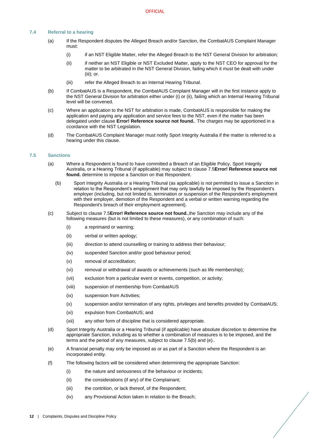# <span id="page-14-0"></span>**7.4 Referral to a hearing**

- (a) If the Respondent disputes the Alleged Breach and/or Sanction, the CombatAUS Complaint Manager must:
	- (i) if an NST Eligible Matter, refer the Alleged Breach to the NST General Division for arbitration;
	- (ii) if neither an NST Eligible or NST Excluded Matter, apply to the NST CEO for approval for the matter to be arbitrated in the NST General Division, failing which it must be dealt with under (iii); or.
	- (iii) refer the Alleged Breach to an Internal Hearing Tribunal.
- (b) If CombatAUS is a Respondent, the CombatAUS Complaint Manager will in the first instance apply to the NST General Division for arbitration either under (i) or (ii), failing which an Internal Hearing Tribunal level will be convened.
- (c) Where an application to the NST for arbitration is made, CombatAUS is responsible for making the application and paying any application and service fees to the NST, even if the matter has been delegated under clause **Error! Reference source not found.**. The charges may be apportioned in a ccordance with the NST Legislation.
- (d) The CombatAUS Complaint Manager must notify Sport Integrity Australia if the matter is referred to a hearing under this clause.

#### <span id="page-14-2"></span><span id="page-14-1"></span>**7.5 Sanctions**

- (a) Where a Respondent is found to have committed a Breach of an Eligible Policy, Sport Integrity Australia, or a Hearing Tribunal (if applicable) may subject to claus[e 7.5](#page-14-1)**Error! Reference source not found.** determine to impose a Sanction on that Respondent.
	- (b) Sport Integrity Australia or a Hearing Tribunal (as applicable) is not permitted to issue a Sanction in relation to the Respondent's employment that may only lawfully be imposed by the Respondent's employer (including, but not limited to, termination or suspension of the Respondent's employment with their employer, demotion of the Respondent and a verbal or written warning regarding the Respondent's breach of their employment agreement).
- (c) Subject to claus[e 7.5](#page-14-1)**Error! Reference source not found.**,the Sanction may include any of the following measures (but is not limited to these measures), or any combination of such:
	- (i) a reprimand or warning;
	- (ii) verbal or written apology;
	- (iii) direction to attend counselling or training to address their behaviour;
	- (iv) suspended Sanction and/or good behaviour period;
	- (v) removal of accreditation;
	- (vi) removal or withdrawal of awards or achievements (such as life membership);
	- (vii) exclusion from a particular event or events, competition, or activity;
	- (viii) suspension of membership from CombatAUS
	- (ix) suspension from Activities;
	- (x) suspension and/or termination of any rights, privileges and benefits provided by CombatAUS;
	- (xi) expulsion from CombatAUS; and
	- (xii) any other form of discipline that is considered appropriate.
- (d) Sport Integrity Australia or a Hearing Tribunal (if applicable) have absolute discretion to determine the appropriate Sanction, including as to whether a combination of measures is to be imposed, and the terms and the period of any measures, subject to clause [7.5](#page-14-1)[\(b\)](#page-14-2) and [\(e\).](#page-14-3).
- <span id="page-14-3"></span>(e) A financial penalty may only be imposed as or as part of a Sanction where the Respondent is an incorporated entity.
- (f) The following factors will be considered when determining the appropriate Sanction:
	- (i) the nature and seriousness of the behaviour or incidents;
	- (ii) the considerations (if any) of the Complainant;
	- (iii) the contrition, or lack thereof, of the Respondent;
	- (iv) any Provisional Action taken in relation to the Breach;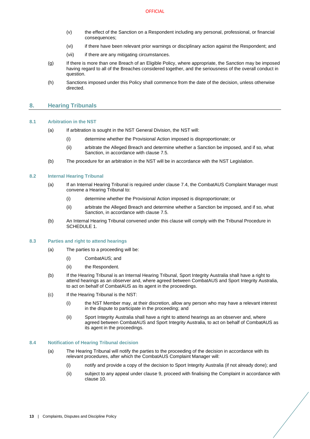- (v) the effect of the Sanction on a Respondent including any personal, professional, or financial consequences;
- (vi) if there have been relevant prior warnings or disciplinary action against the Respondent; and
- (vii) if there are any mitigating circumstances.
- (g) If there is more than one Breach of an Eligible Policy, where appropriate, the Sanction may be imposed having regard to all of the Breaches considered together, and the seriousness of the overall conduct in question.
- (h) Sanctions imposed under this Policy shall commence from the date of the decision, unless otherwise directed.

# <span id="page-15-0"></span>**8. Hearing Tribunals**

# <span id="page-15-9"></span><span id="page-15-1"></span>**8.1 Arbitration in the NST**

- (a) If arbitration is sought in the NST General Division, the NST will:
	- (i) determine whether the Provisional Action imposed is disproportionate; or
	- (ii) arbitrate the Alleged Breach and determine whether a Sanction be imposed, and if so, what Sanction, in accordance with claus[e 7.5.](#page-14-1)
- <span id="page-15-7"></span>(b) The procedure for an arbitration in the NST will be in accordance with the NST Legislation.

# <span id="page-15-10"></span><span id="page-15-5"></span><span id="page-15-2"></span>**8.2 Internal Hearing Tribunal**

- (a) If an Internal Hearing Tribunal is required under claus[e 7.4,](#page-14-0) the CombatAUS Complaint Manager must convene a Hearing Tribunal to:
	- (i) determine whether the Provisional Action imposed is disproportionate; or
	- (ii) arbitrate the Alleged Breach and determine whether a Sanction be imposed, and if so, what Sanction, in accordance with claus[e 7.5.](#page-14-1)
- <span id="page-15-8"></span><span id="page-15-6"></span>(b) An Internal Hearing Tribunal convened under this clause will comply with the Tribunal Procedure in [SCHEDULE 1.](#page-19-0)

# <span id="page-15-3"></span>**8.3 Parties and right to attend hearings**

- (a) The parties to a proceeding will be:
	- (i) CombatAUS; and
	- (ii) the Respondent.
- (b) If the Hearing Tribunal is an Internal Hearing Tribunal, Sport Integrity Australia shall have a right to attend hearings as an observer and, where agreed between CombatAUS and Sport Integrity Australia, to act on behalf of CombatAUS as its agent in the proceedings.
- (c) If the Hearing Tribunal is the NST:
	- (i) the NST Member may, at their discretion, allow any person who may have a relevant interest in the dispute to participate in the proceeding; and
	- (ii) Sport Integrity Australia shall have a right to attend hearings as an observer and, where agreed between CombatAUS and Sport Integrity Australia, to act on behalf of CombatAUS as its agent in the proceedings.

# <span id="page-15-4"></span>**8.4 Notification of Hearing Tribunal decision**

- (a) The Hearing Tribunal will notify the parties to the proceeding of the decision in accordance with its relevant procedures, after which the CombatAUS Complaint Manager will:
	- (i) notify and provide a copy of the decision to Sport Integrity Australia (if not already done); and
	- (ii) subject to any appeal under claus[e 9,](#page-16-0) proceed with finalising the Complaint in accordance with claus[e 10.](#page-17-4)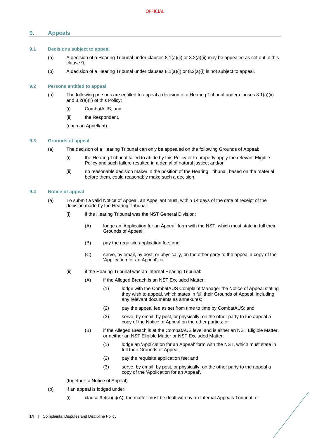# <span id="page-16-0"></span>**9. Appeals**

# <span id="page-16-1"></span>**9.1 Decisions subject to appeal**

- (a) A decision of a Hearing Tribunal under clauses  $8.1(a)(ii)$  or  $8.2(a)(ii)$  may be appealed as set out in this clause [9.](#page-16-0)
- (b) A decision of a Hearing Tribunal under clauses  $8.1(a)(i)$  or  $8.2(a)(i)$  is not subject to appeal.

# <span id="page-16-2"></span>**9.2 Persons entitled to appeal**

- (a) The following persons are entitled to appeal a decision of a Hearing Tribunal under clauses [8.1\(a\)\(ii\)](#page-15-7) and [8.2\(a\)\(ii\)](#page-15-8) of this Policy:
	- (i) CombatAUS; and
	- (ii) the Respondent,

(each an Appellant).

# <span id="page-16-7"></span><span id="page-16-3"></span>**9.3 Grounds of appeal**

- (a) The decision of a Hearing Tribunal can only be appealed on the following Grounds of Appeal:
	- (i) the Hearing Tribunal failed to abide by this Policy or to properly apply the relevant Eligible Policy and such failure resulted in a denial of natural justice: and/or
	- (ii) no reasonable decision maker in the position of the Hearing Tribunal, based on the material before them, could reasonably make such a decision.

# <span id="page-16-4"></span>**9.4 Notice of appeal**

- <span id="page-16-5"></span>(a) To submit a valid Notice of Appeal, an Appellant must, within 14 days of the date of receipt of the decision made by the Hearing Tribunal:
	- (i) if the Hearing Tribunal was the NST General Division:
		- (A) lodge an 'Application for an Appeal' form with the NST, which must state in full their Grounds of Appeal;
		- (B) pay the requisite application fee; and
		- (C) serve, by email, by post, or physically, on the other party to the appeal a copy of the 'Application for an Appeal'; or
	- (ii) if the Hearing Tribunal was an Internal Hearing Tribunal:
		- (A) if the Alleged Breach is an NST Excluded Matter:
			- (1) lodge with the CombatAUS Complaint Manager the Notice of Appeal stating they wish to appeal, which states in full their Grounds of Appeal, including any relevant documents as annexures;
			- (2) pay the appeal fee as set from time to time by CombatAUS; and
			- (3) serve, by email, by post, or physically, on the other party to the appeal a copy of the Notice of Appeal on the other parties; or
		- (B) if the Alleged Breach is at the CombatAUS level and is either an NST Eligible Matter, or neither an NST Eligible Matter or NST Excluded Matter:
			- (1) lodge an 'Application for an Appeal' form with the NST, which must state in full their Grounds of Appeal;
			- (2) pay the requisite application fee; and
			- (3) serve, by email, by post, or physically, on the other party to the appeal a copy of the 'Application for an Appeal',

(together, a Notice of Appeal).

- <span id="page-16-6"></span>(b) If an appeal is lodged under:
	- (i) clause  $9.4(a)(ii)(A)$ , the matter must be dealt with by an Internal Appeals Tribunal; or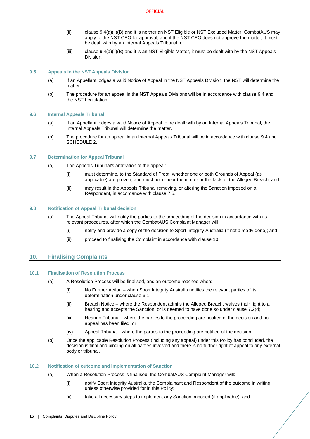- (ii) claus[e 9.4\(a\)\(ii\)\(B\)](#page-16-6) and it is neither an NST Eligible or NST Excluded Matter, CombatAUS may apply to the NST CEO for approval, and if the NST CEO does not approve the matter, it must be dealt with by an Internal Appeals Tribunal; or
- (iii) claus[e 9.4\(a\)\(ii\)\(B\)](#page-16-6) and it is an NST Eligible Matter, it must be dealt with by the NST Appeals Division.

# <span id="page-17-0"></span>**9.5 Appeals in the NST Appeals Division**

- (a) If an Appellant lodges a valid Notice of Appeal in the NST Appeals Division, the NST will determine the matter.
- (b) The procedure for an appeal in the NST Appeals Divisions will be in accordance with clause [9.4](#page-16-4) and the NST Legislation.

# <span id="page-17-1"></span>**9.6 Internal Appeals Tribunal**

- (a) If an Appellant lodges a valid Notice of Appeal to be dealt with by an Internal Appeals Tribunal, the Internal Appeals Tribunal will determine the matter.
- (b) The procedure for an appeal in an Internal Appeals Tribunal will be in accordance with clause [9.4](#page-16-4) and [SCHEDULE 2.](#page-23-0)

# <span id="page-17-2"></span>**9.7 Determination for Appeal Tribunal**

- (a) The Appeals Tribunal's arbitration of the appeal:
	- (i) must determine, to the Standard of Proof, whether one or both Grounds of Appeal (as applicable) are proven, and must not rehear the matter or the facts of the Alleged Breach; and
	- (ii) may result in the Appeals Tribunal removing, or altering the Sanction imposed on a Respondent, in accordance with clause [7.5.](#page-14-1)

### <span id="page-17-3"></span>**9.8 Notification of Appeal Tribunal decision**

- (a) The Appeal Tribunal will notify the parties to the proceeding of the decision in accordance with its relevant procedures, after which the CombatAUS Complaint Manager will:
	- (i) notify and provide a copy of the decision to Sport Integrity Australia (if not already done); and
	- (ii) proceed to finalising the Complaint in accordance with clause [10.](#page-17-4)

# <span id="page-17-4"></span>**10. Finalising Complaints**

#### <span id="page-17-5"></span>**10.1 Finalisation of Resolution Process**

- (a) A Resolution Process will be finalised, and an outcome reached when:
	- (i) No Further Action when Sport Integrity Australia notifies the relevant parties of its determination under clause [6.1;](#page-12-2)
	- (ii) Breach Notice where the Respondent admits the Alleged Breach, waives their right to a hearing and accepts the Sanction, or is deemed to have done so under clause [7.2\(d\);](#page-13-5)
	- (iii) Hearing Tribunal where the parties to the proceeding are notified of the decision and no appeal has been filed; or
	- (iv) Appeal Tribunal where the parties to the proceeding are notified of the decision.
- (b) Once the applicable Resolution Process (including any appeal) under this Policy has concluded, the decision is final and binding on all parties involved and there is no further right of appeal to any external body or tribunal.

#### <span id="page-17-6"></span>**10.2 Notification of outcome and implementation of Sanction**

- (a) When a Resolution Process is finalised, the CombatAUS Complaint Manager will:
	- (i) notify Sport Integrity Australia, the Complainant and Respondent of the outcome in writing, unless otherwise provided for in this Policy;
	- (ii) take all necessary steps to implement any Sanction imposed (if applicable); and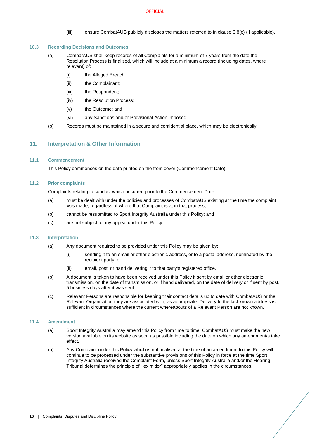#### **OFFICIAL**

(iii) ensure CombatAUS publicly discloses the matters referred to in clause [3.8](#page-7-0)[\(c\)](#page-7-7) (if applicable).

### <span id="page-18-0"></span>**10.3 Recording Decisions and Outcomes**

- (a) CombatAUS shall keep records of all Complaints for a minimum of 7 years from the date the Resolution Process is finalised, which will include at a minimum a record (including dates, where relevant) of:
	- (i) the Alleged Breach;
	- (ii) the Complainant;
	- (iii) the Respondent:
	- (iv) the Resolution Process;
	- (v) the Outcome; and
	- (vi) any Sanctions and/or Provisional Action imposed.
- (b) Records must be maintained in a secure and confidential place, which may be electronically.

# <span id="page-18-1"></span>**11. Interpretation & Other Information**

#### <span id="page-18-2"></span>**11.1 Commencement**

This Policy commences on the date printed on the front cover (Commencement Date).

#### <span id="page-18-3"></span>**11.2 Prior complaints**

Complaints relating to conduct which occurred prior to the Commencement Date:

- (a) must be dealt with under the policies and processes of CombatAUS existing at the time the complaint was made, regardless of where that Complaint is at in that process;
- (b) cannot be resubmitted to Sport Integrity Australia under this Policy; and
- (c) are not subject to any appeal under this Policy.

# <span id="page-18-4"></span>**11.3 Interpretation**

- (a) Any document required to be provided under this Policy may be given by:
	- (i) sending it to an email or other electronic address, or to a postal address, nominated by the recipient party; or
	- (ii) email, post, or hand delivering it to that party's registered office.
- (b) A document is taken to have been received under this Policy if sent by email or other electronic transmission, on the date of transmission, or if hand delivered, on the date of delivery or if sent by post, 5 business days after it was sent.
- (c) Relevant Persons are responsible for keeping their contact details up to date with CombatAUS or the Relevant Organisation they are associated with, as appropriate. Delivery to the last known address is sufficient in circumstances where the current whereabouts of a Relevant Person are not known.

# <span id="page-18-5"></span>**11.4 Amendment**

- (a) Sport Integrity Australia may amend this Policy from time to time. CombatAUS must make the new version available on its website as soon as possible including the date on which any amendment/s take effect.
- (b) Any Complaint under this Policy which is not finalised at the time of an amendment to this Policy will continue to be processed under the substantive provisions of this Policy in force at the time Sport Integrity Australia received the Complaint Form, unless Sport Integrity Australia and/or the Hearing Tribunal determines the principle of "lex mitior" appropriately applies in the circumstances.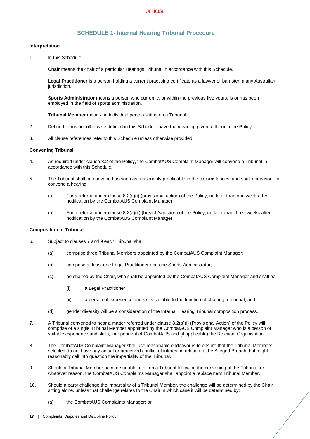# **SCHEDULE 1- Internal Hearing Tribunal Procedure**

#### <span id="page-19-0"></span>**Interpretation**

1. In this Schedule:

**Chair** means the chair of a particular Hearings Tribunal in accordance with this Schedule.

**Legal Practitioner** is a person holding a current practising certificate as a lawyer or barrister in any Australian jurisdiction.

**Sports Administrator** means a person who currently, or within the previous five years, is or has been employed in the field of sports administration.

**Tribunal Member** means an individual person sitting on a Tribunal.

- 2. Defined terms not otherwise defined in this Schedule have the meaning given to them in the Policy.
- 3. All clause references refer to this Schedule unless otherwise provided.

### **Convening Tribunal**

- 4. As required under claus[e 8.2](#page-15-2) of the Policy, the CombatAUS Complaint Manager will convene a Tribunal in accordance with this Schedule.
- 5. The Tribunal shall be convened as soon as reasonably practicable in the circumstances, and shall endeavour to convene a hearing:
	- (a) For a referral under clause [8.2\(a\)\(i\)](#page-15-10) (provisional action) of the Policy, no later than one week after notification by the CombatAUS Complaint Manager;
	- (b) For a referral under clause [8.2\(a\)\(ii\)](#page-15-8) (breach/sanction) of the Policy, no later than three weeks after notification by the CombatAUS Complaint Manager.

# **Composition of Tribunal**

- 6. Subject to clause[s 7](#page-13-0) and [9](#page-16-0) each Tribunal shall:
	- (a) comprise three Tribunal Members appointed by the CombatAUS Complaint Manager;
	- (b) comprise at least one Legal Practitioner and one Sports Administrator;
	- (c) be chaired by the Chair, who shall be appointed by the CombatAUS Complaint Manager and shall be:
		- (i) a Legal Practitioner;
		- (ii) a person of experience and skills suitable to the function of chairing a tribunal, and;
	- (d) gender diversity will be a consideration of the Internal Hearing Tribunal composition process.
- 7. A Tribunal convened to hear a matter referred under clause [8.2\(a\)\(i\)](#page-15-10) (Provisional Action) of the Policy will comprise of a single Tribunal Member appointed by the CombatAUS Complaint Manager who is a person of suitable experience and skills, independent of CombatAUS and (if applicable) the Relevant Organisation.
- 8. The CombatAUS Complaint Manager shall use reasonable endeavours to ensure that the Tribunal Members selected do not have any actual or perceived conflict of interest in relation to the Alleged Breach that might reasonably call into question the impartiality of the Tribunal.
- 9. Should a Tribunal Member become unable to sit on a Tribunal following the convening of the Tribunal for whatever reason, the CombatAUS Complaints Manager shall appoint a replacement Tribunal Member.
- 10. Should a party challenge the impartiality of a Tribunal Member, the challenge will be determined by the Chair sitting alone, unless that challenge relates to the Chair in which case it will be determined by:
	- (a) the CombatAUS Complaints Manager; or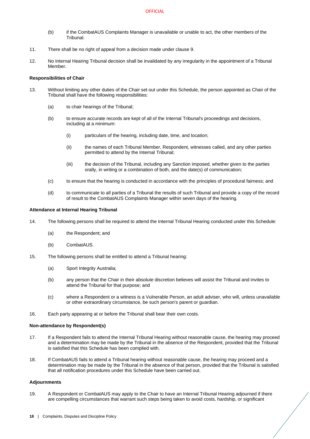- (b) if the CombatAUS Complaints Manager is unavailable or unable to act, the other members of the Tribunal.
- 11. There shall be no right of appeal from a decision made under clause 9.
- 12. No Internal Hearing Tribunal decision shall be invalidated by any irregularity in the appointment of a Tribunal Member.

# **Responsibilities of Chair**

- 13. Without limiting any other duties of the Chair set out under this Schedule, the person appointed as Chair of the Tribunal shall have the following responsibilities:
	- (a) to chair hearings of the Tribunal;
	- (b) to ensure accurate records are kept of all of the Internal Tribunal's proceedings and decisions, including at a minimum:
		- (i) particulars of the hearing, including date, time, and location;
		- (ii) the names of each Tribunal Member, Respondent, witnesses called, and any other parties permitted to attend by the Internal Tribunal;
		- (iii) the decision of the Tribunal, including any Sanction imposed, whether given to the parties orally, in writing or a combination of both, and the date(s) of communication;
	- (c) to ensure that the hearing is conducted in accordance with the principles of procedural fairness; and
	- (d) to communicate to all parties of a Tribunal the results of such Tribunal and provide a copy of the record of result to the CombatAUS Complaints Manager within seven days of the hearing.

#### **Attendance at Internal Hearing Tribunal**

- 14. The following persons shall be required to attend the Internal Tribunal Hearing conducted under this Schedule:
	- (a) the Respondent; and
	- (b) CombatAUS.
- 15. The following persons shall be entitled to attend a Tribunal hearing:
	- (a) Sport Integrity Australia;
	- (b) any person that the Chair in their absolute discretion believes will assist the Tribunal and invites to attend the Tribunal for that purpose; and
	- (c) where a Respondent or a witness is a Vulnerable Person, an adult adviser, who will, unless unavailable or other extraordinary circumstance, be such person's parent or guardian.
- 16. Each party appearing at or before the Tribunal shall bear their own costs.

#### **Non-attendance by Respondent(s)**

- 17. If a Respondent fails to attend the Internal Tribunal Hearing without reasonable cause, the hearing may proceed and a determination may be made by the Tribunal in the absence of the Respondent, provided that the Tribunal is satisfied that this Schedule has been complied with.
- 18. If CombatAUS fails to attend a Tribunal hearing without reasonable cause, the hearing may proceed and a determination may be made by the Tribunal in the absence of that person, provided that the Tribunal is satisfied that all notification procedures under this Schedule have been carried out.

# **Adjournments**

19. A Respondent or CombatAUS may apply to the Chair to have an Internal Tribunal Hearing adjourned if there are compelling circumstances that warrant such steps being taken to avoid costs, hardship, or significant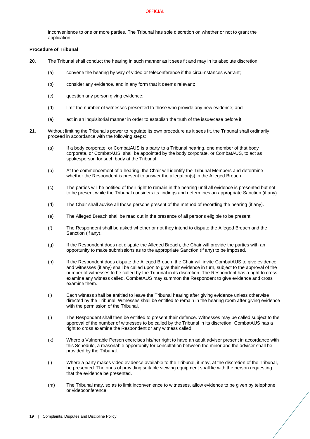inconvenience to one or more parties. The Tribunal has sole discretion on whether or not to grant the application.

# **Procedure of Tribunal**

- 20. The Tribunal shall conduct the hearing in such manner as it sees fit and may in its absolute discretion:
	- (a) convene the hearing by way of video or teleconference if the circumstances warrant;
	- (b) consider any evidence, and in any form that it deems relevant;
	- (c) question any person giving evidence;
	- (d) limit the number of witnesses presented to those who provide any new evidence; and
	- (e) act in an inquisitorial manner in order to establish the truth of the issue/case before it.
- 21. Without limiting the Tribunal's power to regulate its own procedure as it sees fit, the Tribunal shall ordinarily proceed in accordance with the following steps:
	- (a) If a body corporate, or CombatAUS is a party to a Tribunal hearing, one member of that body corporate, or CombatAUS, shall be appointed by the body corporate, or CombatAUS, to act as spokesperson for such body at the Tribunal.
	- (b) At the commencement of a hearing, the Chair will identify the Tribunal Members and determine whether the Respondent is present to answer the allegation(s) in the Alleged Breach.
	- (c) The parties will be notified of their right to remain in the hearing until all evidence is presented but not to be present while the Tribunal considers its findings and determines an appropriate Sanction (if any).
	- (d) The Chair shall advise all those persons present of the method of recording the hearing (if any).
	- (e) The Alleged Breach shall be read out in the presence of all persons eligible to be present.
	- (f) The Respondent shall be asked whether or not they intend to dispute the Alleged Breach and the Sanction (if any).
	- (g) If the Respondent does not dispute the Alleged Breach, the Chair will provide the parties with an opportunity to make submissions as to the appropriate Sanction (if any) to be imposed.
	- (h) If the Respondent does dispute the Alleged Breach, the Chair will invite CombatAUS to give evidence and witnesses (if any) shall be called upon to give their evidence in turn, subject to the approval of the number of witnesses to be called by the Tribunal in its discretion. The Respondent has a right to cross examine any witness called. CombatAUS may summon the Respondent to give evidence and cross examine them.
	- (i) Each witness shall be entitled to leave the Tribunal hearing after giving evidence unless otherwise directed by the Tribunal. Witnesses shall be entitled to remain in the hearing room after giving evidence with the permission of the Tribunal.
	- (j) The Respondent shall then be entitled to present their defence. Witnesses may be called subject to the approval of the number of witnesses to be called by the Tribunal in its discretion. CombatAUS has a right to cross examine the Respondent or any witness called.
	- (k) Where a Vulnerable Person exercises his/her right to have an adult adviser present in accordance with this Schedule, a reasonable opportunity for consultation between the minor and the adviser shall be provided by the Tribunal.
	- (l) Where a party makes video evidence available to the Tribunal, it may, at the discretion of the Tribunal, be presented. The onus of providing suitable viewing equipment shall lie with the person requesting that the evidence be presented.
	- (m) The Tribunal may, so as to limit inconvenience to witnesses, allow evidence to be given by telephone or videoconference.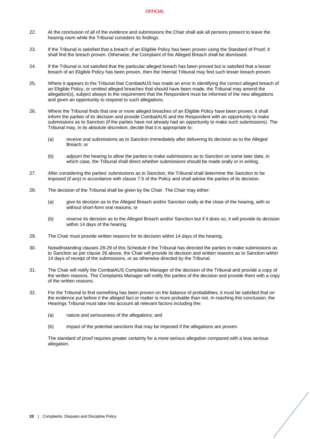- 22. At the conclusion of all of the evidence and submissions the Chair shall ask all persons present to leave the hearing room while the Tribunal considers its findings.
- 23. If the Tribunal is satisfied that a breach of an Eligible Policy has been proven using the Standard of Proof, it shall find the breach proven. Otherwise, the Complaint of the Alleged Breach shall be dismissed.
- 24. If the Tribunal is not satisfied that the particular alleged breach has been proved but is satisfied that a lesser breach of an Eligible Policy has been proven, then the Internal Tribunal may find such lesser breach proven.
- 25. Where it appears to the Tribunal that CombatAUS has made an error in identifying the correct alleged breach of an Eligible Policy, or omitted alleged breaches that should have been made, the Tribunal may amend the allegation(s), subject always to the requirement that the Respondent must be informed of the new allegations and given an opportunity to respond to such allegations.
- <span id="page-22-2"></span>26. Where the Tribunal finds that one or more alleged breaches of an Eligible Policy have been proven, it shall inform the parties of its decision and provide CombatAUS and the Respondent with an opportunity to make submissions as to Sanction (if the parties have not already had an opportunity to make such submissions). The Tribunal may, in its absolute discretion, decide that it is appropriate to:
	- (a) receive oral submissions as to Sanction immediately after delivering its decision as to the Alleged Breach; or
	- (b) adjourn the hearing to allow the parties to make submissions as to Sanction on some later date, in which case, the Tribunal shall direct whether submissions should be made orally or in writing.
- 27. After considering the parties' submissions as to Sanction, the Tribunal shall determine the Sanction to be imposed (if any) in accordance with clause [7.5](#page-14-1) of the Policy and shall advise the parties of its decision.
- <span id="page-22-0"></span>28. The decision of the Tribunal shall be given by the Chair. The Chair may either:
	- (a) give its decision as to the Alleged Breach and/or Sanction orally at the close of the hearing, with or without short-form oral reasons; or
	- (b) reserve its decision as to the Alleged Breach and/or Sanction but if it does so, it will provide its decision within 14 days of the hearing.
- <span id="page-22-1"></span>29. The Chair must provide written reasons for its decision within 14 days of the hearing.
- 30. Notwithstanding clause[s 28](#page-22-0)[-29](#page-22-1) of this Schedule if the Tribunal has directed the parties to make submissions as to Sanction as per claus[e 26](#page-22-2) above, the Chair will provide its decision and written reasons as to Sanction within 14 days of receipt of the submissions, or as otherwise directed by the Tribunal.
- 31. The Chair will notify the CombatAUS Complaints Manager of the decision of the Tribunal and provide a copy of the written reasons. The Complaints Manager will notify the parties of the decision and provide them with a copy of the written reasons.
- 32. For the Tribunal to find something has been proven on the balance of probabilities, it must be satisfied that on the evidence put before it the alleged fact or matter is more probable than not. In reaching this conclusion, the Hearings Tribunal must take into account all relevant factors including the:
	- (a) nature and seriousness of the allegations; and
	- (b) impact of the potential sanctions that may be imposed if the allegations are proven.

The standard of proof requires greater certainty for a more serious allegation compared with a less serious allegation.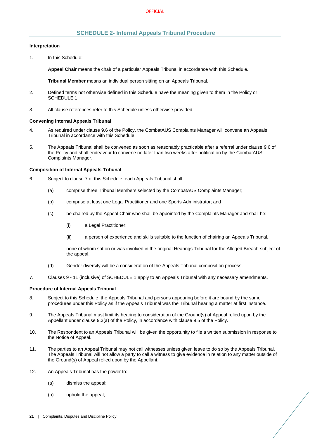# **SCHEDULE 2- Internal Appeals Tribunal Procedure**

## <span id="page-23-0"></span>**Interpretation**

1. In this Schedule:

**Appeal Chair** means the chair of a particular Appeals Tribunal in accordance with this Schedule.

**Tribunal Member** means an individual person sitting on an Appeals Tribunal.

- 2. Defined terms not otherwise defined in this Schedule have the meaning given to them in the Policy or [SCHEDULE 1.](#page-19-0)
- 3. All clause references refer to this Schedule unless otherwise provided.

### **Convening Internal Appeals Tribunal**

- 4. As required under claus[e 9.6](#page-17-1) of the Policy, the CombatAUS Complaints Manager will convene an Appeals Tribunal in accordance with this Schedule.
- 5. The Appeals Tribunal shall be convened as soon as reasonably practicable after a referral under clause [9.6](#page-17-1) of the Policy and shall endeavour to convene no later than two weeks after notification by the CombatAUS Complaints Manager.

### **Composition of Internal Appeals Tribunal**

- 6. Subject to clause [7](#page-23-1) of this Schedule, each Appeals Tribunal shall:
	- (a) comprise three Tribunal Members selected by the CombatAUS Complaints Manager;
	- (b) comprise at least one Legal Practitioner and one Sports Administrator; and
	- (c) be chaired by the Appeal Chair who shall be appointed by the Complaints Manager and shall be:
		- (i) a Legal Practitioner;
		- (ii) a person of experience and skills suitable to the function of chairing an Appeals Tribunal,

none of whom sat on or was involved in the original Hearings Tribunal for the Alleged Breach subject of the appeal.

- (d) Gender diversity will be a consideration of the Appeals Tribunal composition process.
- <span id="page-23-1"></span>7. Clauses 9 - 11 (inclusive) o[f SCHEDULE 1](#page-19-0) apply to an Appeals Tribunal with any necessary amendments.

# **Procedure of Internal Appeals Tribunal**

- 8. Subject to this Schedule, the Appeals Tribunal and persons appearing before it are bound by the same procedures under this Policy as if the Appeals Tribunal was the Tribunal hearing a matter at first instance.
- 9. The Appeals Tribunal must limit its hearing to consideration of the Ground(s) of Appeal relied upon by the Appellant under clause [9.3\(a\)](#page-16-7) of the Policy, in accordance with clause [9.5](#page-17-0) of the Policy.
- 10. The Respondent to an Appeals Tribunal will be given the opportunity to file a written submission in response to the Notice of Appeal.
- 11. The parties to an Appeal Tribunal may not call witnesses unless given leave to do so by the Appeals Tribunal. The Appeals Tribunal will not allow a party to call a witness to give evidence in relation to any matter outside of the Ground(s) of Appeal relied upon by the Appellant.
- 12. An Appeals Tribunal has the power to:
	- (a) dismiss the appeal;
	- (b) uphold the appeal;